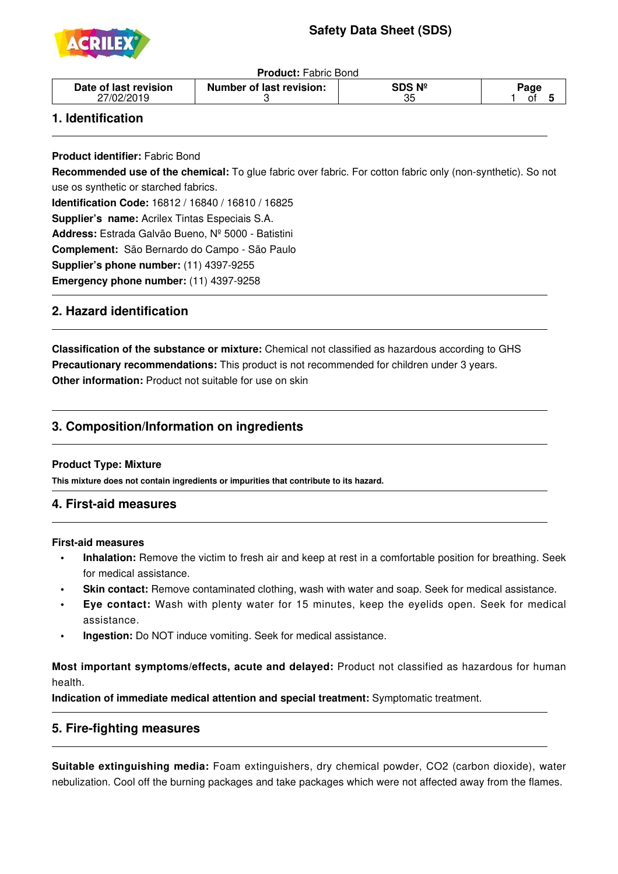# **Safety Data Sheet (SDS)**



**Product:** Fabric Bond

| - 1<br>ບເ | Date of last revision<br>27/02/2019 | Number of last revision: | วฺร Nº | 'aɑ∈ |
|-----------|-------------------------------------|--------------------------|--------|------|
|-----------|-------------------------------------|--------------------------|--------|------|

## **1. Identification**

j

j

j

i<br>I

**Product identifier:** Fabric Bond

**Recommended use of the chemical:** To glue fabric over fabric. For cotton fabric only (non-synthetic). So not use os synthetic or starched fabrics.

**Identification Code:** 16812 / 16840 / 16810 / 16825

**Supplier's name:** Acrilex Tintas Especiais S.A.

**Address:** Estrada Galvão Bueno, Nº 5000 - Batistini

**Complement:** São Bernardo do Campo - São Paulo

**Supplier's phone number:** (11) 4397-9255

**Emergency phone number:** (11) 4397-9258

## **2. Hazard identification**

**Classification of the substance or mixture:** Chemical not classified as hazardous according to GHS **Precautionary recommendations:** This product is not recommended for children under 3 years. **Other information:** Product not suitable for use on skin

## **3. Composition/Information on ingredients**

### **Product Type: Mixture**

**This mixture does not contain ingredients or impurities that contribute to its hazard.**

#### 1 **4. First-aid measures**

#### **First-aid measures**

- **Inhalation:** Remove the victim to fresh air and keep at rest in a comfortable position for breathing. Seek for medical assistance.
- **Skin contact:** Remove contaminated clothing, wash with water and soap. Seek for medical assistance.
- **Eye contact:** Wash with plenty water for 15 minutes, keep the eyelids open. Seek for medical assistance.
- **Ingestion:** Do NOT induce vomiting. Seek for medical assistance.

**Most important symptoms/effects, acute and delayed:** Product not classified as hazardous for human health.

**Indication of immediate medical attention and special treatment:** Symptomatic treatment.

### **5. Fire-fighting measures**

**Suitable extinguishing media:** Foam extinguishers, dry chemical powder, CO2 (carbon dioxide), water nebulization. Cool off the burning packages and take packages which were not affected away from the flames.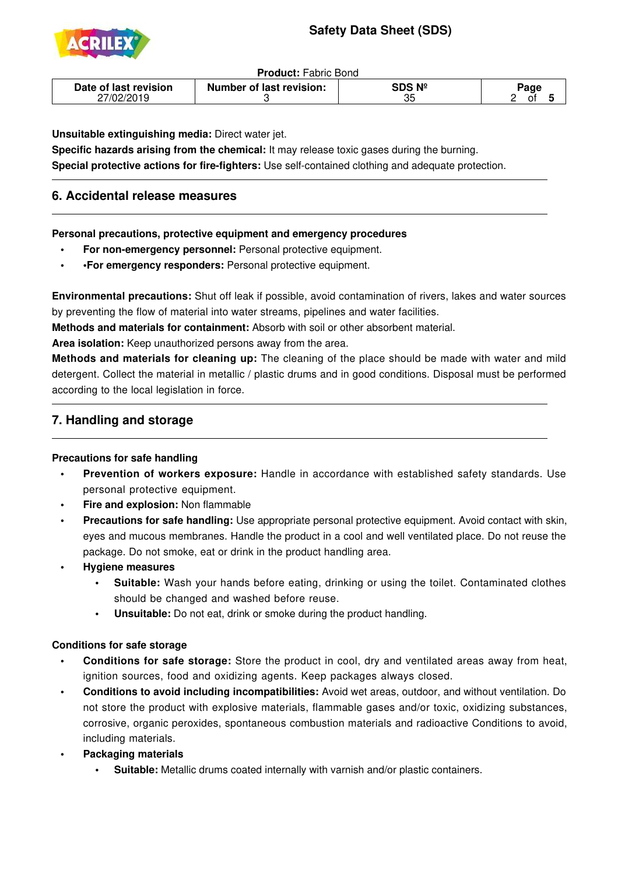# **Safety Data Sheet (SDS)**



j

j

**Product:** Fabric Bond

| Date of last revision<br>Number of last revision: | SDS Nº<br>っこ<br>Uw | Page<br>n+ |
|---------------------------------------------------|--------------------|------------|
|---------------------------------------------------|--------------------|------------|

**Unsuitable extinguishing media:** Direct water jet.

**Specific hazards arising from the chemical:** It may release toxic gases during the burning. **Special protective actions for fire-fighters:** Use self-contained clothing and adequate protection.

## **6. Accidental release measures**

**Personal precautions, protective equipment and emergency procedures**

- **For non-emergency personnel:** Personal protective equipment.
- **•For emergency responders:** Personal protective equipment.

**Environmental precautions:** Shut off leak if possible, avoid contamination of rivers, lakes and water sources by preventing the flow of material into water streams, pipelines and water facilities.

**Methods and materials for containment:** Absorb with soil or other absorbent material.

**Area isolation:** Keep unauthorized persons away from the area.

**Methods and materials for cleaning up:** The cleaning of the place should be made with water and mild detergent. Collect the material in metallic / plastic drums and in good conditions. Disposal must be performed according to the local legislation in force.

## **7. Handling and storage**

### **Precautions for safe handling**

- **•** Prevention of workers exposure: Handle in accordance with established safety standards. Use personal protective equipment.
- **Fire and explosion:** Non flammable
- **Precautions for safe handling:** Use appropriate personal protective equipment. Avoid contact with skin, eyes and mucous membranes. Handle the product in a cool and well ventilated place. Do not reuse the package. Do not smoke, eat or drink in the product handling area.
- **• Hygiene measures**
	- **Suitable:** Wash your hands before eating, drinking or using the toilet. Contaminated clothes should be changed and washed before reuse.
	- **Unsuitable:** Do not eat, drink or smoke during the product handling.

### **Conditions for safe storage**

- **Conditions for safe storage:** Store the product in cool, dry and ventilated areas away from heat, ignition sources, food and oxidizing agents. Keep packages always closed.
- **• Conditions to avoid including incompatibilities:** Avoid wet areas, outdoor, and without ventilation. Do not store the product with explosive materials, flammable gases and/or toxic, oxidizing substances, corrosive, organic peroxides, spontaneous combustion materials and radioactive Conditions to avoid, including materials.
- **Packaging materials** 
	- **Suitable:** Metallic drums coated internally with varnish and/or plastic containers.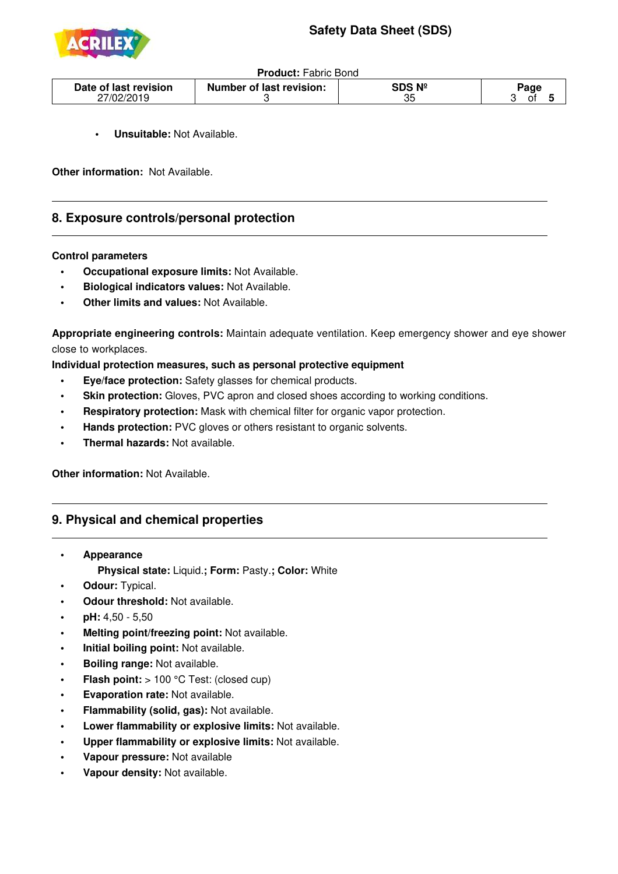

| <b>Product: Fabric Bond</b> |  |
|-----------------------------|--|
|                             |  |

| Date of last revision | <b>Number of last revision:</b> | $N^{\circ}$<br>SDS | aao |
|-----------------------|---------------------------------|--------------------|-----|
| 27/02/2019            |                                 | つに<br>ບປ           | n.  |

**Unsuitable: Not Available.** 

**Other information:** Not Available.

### **8. Exposure controls/personal protection**

#### **Control parameters**

j

j

- **• Occupational exposure limits:** Not Available.
- **• Biological indicators values:** Not Available.
- **Other limits and values: Not Available.**

**Appropriate engineering controls:** Maintain adequate ventilation. Keep emergency shower and eye shower close to workplaces.

**Individual protection measures, such as personal protective equipment**

- **• Eye/face protection:** Safety glasses for chemical products.
- **Skin protection:** Gloves, PVC apron and closed shoes according to working conditions.
- **Respiratory protection:** Mask with chemical filter for organic vapor protection.
- **Hands protection:** PVC gloves or others resistant to organic solvents.
- **Thermal hazards: Not available.**

**Other information:** Not Available.

### **9. Physical and chemical properties**

- **• Appearance Physical state:** Liquid.**; Form:** Pasty.**; Color:** White
- **Odour: Typical.**
- **Odour threshold:** Not available.
- **pH:** 4,50 5,50
- **Melting point/freezing point: Not available.**
- **Initial boiling point: Not available.**
- **Boiling range: Not available.**
- **Flash point:** > 100 °C Test: (closed cup)
- **Evaporation rate: Not available.**
- **Flammability (solid, gas):** Not available.
- **• Lower flammability or explosive limits:** Not available.
- **Upper flammability or explosive limits: Not available.**
- **Vapour pressure:** Not available
- **Vapour density: Not available.**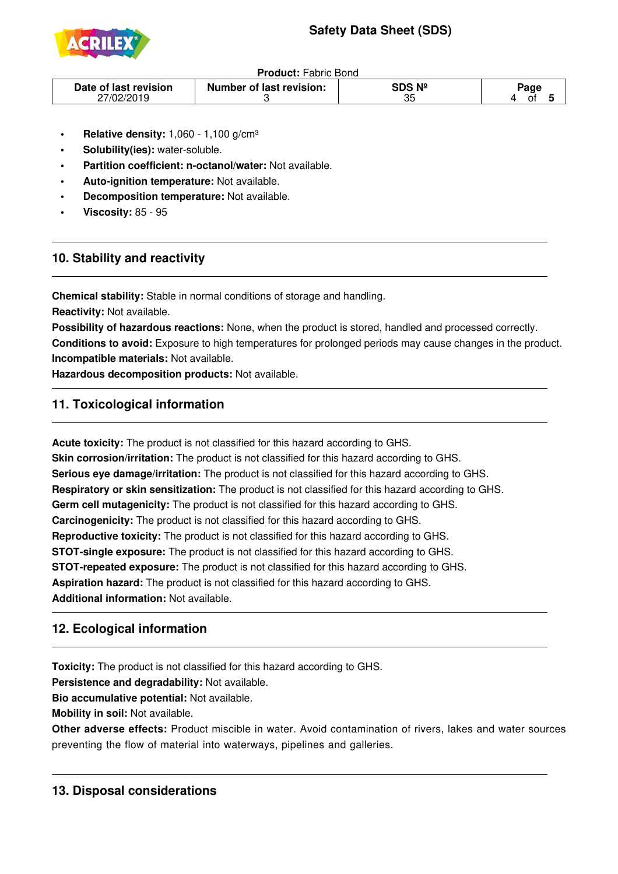# **Safety Data Sheet (SDS)**



**Product:** Fabric Bond

| Date of last revision<br>27/02/2019 | <b>Number of last revision:</b> | SDS Nº<br>35 | ാage |
|-------------------------------------|---------------------------------|--------------|------|
|-------------------------------------|---------------------------------|--------------|------|

- **Relative density: 1,060 1,100 g/cm<sup>3</sup>**
- **Solubility(ies):** water-soluble.
- **Partition coefficient: n-octanol/water: Not available.**
- **Auto-ignition temperature:** Not available.
- **Decomposition temperature:** Not available.
- **• Viscosity:** 85 95

j

j

j

ī

## **10. Stability and reactivity**

**Chemical stability:** Stable in normal conditions of storage and handling.

**Reactivity:** Not available.

**Possibility of hazardous reactions:** None, when the product is stored, handled and processed correctly. **Conditions to avoid:** Exposure to high temperatures for prolonged periods may cause changes in the product. **Incompatible materials:** Not available.

**Hazardous decomposition products:** Not available.

## **11. Toxicological information**

**Acute toxicity:** The product is not classified for this hazard according to GHS. **Skin corrosion/irritation:** The product is not classified for this hazard according to GHS. **Serious eye damage/irritation:** The product is not classified for this hazard according to GHS. **Respiratory or skin sensitization:** The product is not classified for this hazard according to GHS. **Germ cell mutagenicity:** The product is not classified for this hazard according to GHS. **Carcinogenicity:** The product is not classified for this hazard according to GHS. **Reproductive toxicity:** The product is not classified for this hazard according to GHS. **STOT-single exposure:** The product is not classified for this hazard according to GHS. **STOT-repeated exposure:** The product is not classified for this hazard according to GHS. **Aspiration hazard:** The product is not classified for this hazard according to GHS. **Additional information:** Not available.

## **12. Ecological information**

**Toxicity:** The product is not classified for this hazard according to GHS.

**Persistence and degradability:** Not available.

**Bio accumulative potential:** Not available.

**Mobility in soil:** Not available.

**Other adverse effects:** Product miscible in water. Avoid contamination of rivers, lakes and water sources preventing the flow of material into waterways, pipelines and galleries.